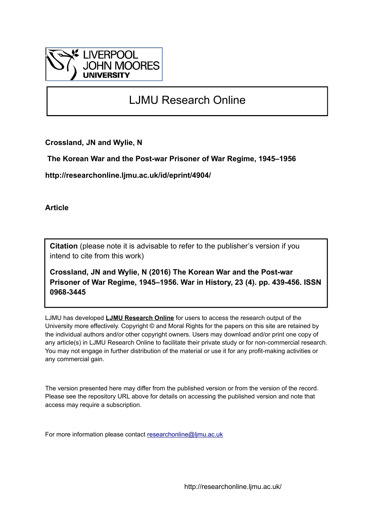

## LJMU Research Online

**Crossland, JN and Wylie, N**

 **The Korean War and the Post-war Prisoner of War Regime, 1945–1956**

**http://researchonline.ljmu.ac.uk/id/eprint/4904/**

**Article**

**Citation** (please note it is advisable to refer to the publisher's version if you intend to cite from this work)

**Crossland, JN and Wylie, N (2016) The Korean War and the Post-war Prisoner of War Regime, 1945–1956. War in History, 23 (4). pp. 439-456. ISSN 0968-3445** 

LJMU has developed **[LJMU Research Online](http://researchonline.ljmu.ac.uk/)** for users to access the research output of the University more effectively. Copyright © and Moral Rights for the papers on this site are retained by the individual authors and/or other copyright owners. Users may download and/or print one copy of any article(s) in LJMU Research Online to facilitate their private study or for non-commercial research. You may not engage in further distribution of the material or use it for any profit-making activities or any commercial gain.

The version presented here may differ from the published version or from the version of the record. Please see the repository URL above for details on accessing the published version and note that access may require a subscription.

For more information please contact [researchonline@ljmu.ac.uk](mailto:researchonline@ljmu.ac.uk)

http://researchonline.ljmu.ac.uk/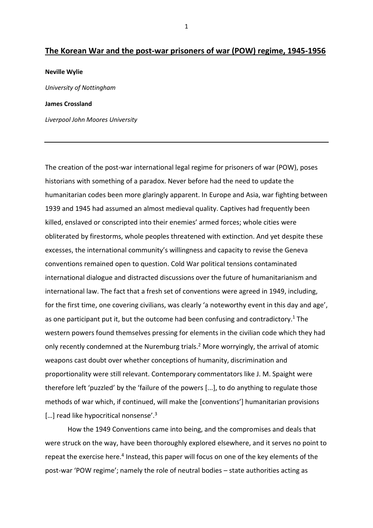## **The Korean War and the post-war prisoners of war (POW) regime, 1945-1956**

## **Neville Wylie**

*University of Nottingham*

## **James Crossland**

*Liverpool John Moores University*

The creation of the post-war international legal regime for prisoners of war (POW), poses historians with something of a paradox. Never before had the need to update the humanitarian codes been more glaringly apparent. In Europe and Asia, war fighting between 1939 and 1945 had assumed an almost medieval quality. Captives had frequently been killed, enslaved or conscripted into their enemies' armed forces; whole cities were obliterated by firestorms, whole peoples threatened with extinction. And yet despite these excesses, the international community's willingness and capacity to revise the Geneva conventions remained open to question. Cold War political tensions contaminated international dialogue and distracted discussions over the future of humanitarianism and international law. The fact that a fresh set of conventions were agreed in 1949, including, for the first time, one covering civilians, was clearly 'a noteworthy event in this day and age', as one participant put it, but the outcome had been confusing and contradictory.<sup>1</sup> The western powers found themselves pressing for elements in the civilian code which they had only recently condemned at the Nuremburg trials. <sup>2</sup> More worryingly, the arrival of atomic weapons cast doubt over whether conceptions of humanity, discrimination and proportionality were still relevant. Contemporary commentators like J. M. Spaight were therefore left 'puzzled' by the 'failure of the powers [...], to do anything to regulate those methods of war which, if continued, will make the [conventions'] humanitarian provisions [...] read like hypocritical nonsense'.<sup>3</sup>

How the 1949 Conventions came into being, and the compromises and deals that were struck on the way, have been thoroughly explored elsewhere, and it serves no point to repeat the exercise here.<sup>4</sup> Instead, this paper will focus on one of the key elements of the post-war 'POW regime'; namely the role of neutral bodies – state authorities acting as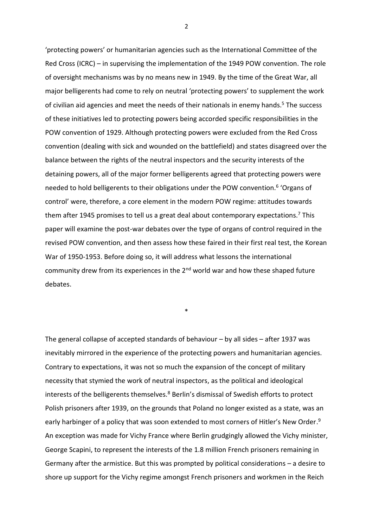'protecting powers' or humanitarian agencies such as the International Committee of the Red Cross (ICRC) – in supervising the implementation of the 1949 POW convention. The role of oversight mechanisms was by no means new in 1949. By the time of the Great War, all major belligerents had come to rely on neutral 'protecting powers' to supplement the work of civilian aid agencies and meet the needs of their nationals in enemy hands.<sup>5</sup> The success of these initiatives led to protecting powers being accorded specific responsibilities in the POW convention of 1929. Although protecting powers were excluded from the Red Cross convention (dealing with sick and wounded on the battlefield) and states disagreed over the balance between the rights of the neutral inspectors and the security interests of the detaining powers, all of the major former belligerents agreed that protecting powers were needed to hold belligerents to their obligations under the POW convention. 6 'Organs of control' were, therefore, a core element in the modern POW regime: attitudes towards them after 1945 promises to tell us a great deal about contemporary expectations.<sup>7</sup> This paper will examine the post-war debates over the type of organs of control required in the revised POW convention, and then assess how these faired in their first real test, the Korean War of 1950-1953. Before doing so, it will address what lessons the international community drew from its experiences in the  $2^{nd}$  world war and how these shaped future debates.

\*

The general collapse of accepted standards of behaviour – by all sides – after 1937 was inevitably mirrored in the experience of the protecting powers and humanitarian agencies. Contrary to expectations, it was not so much the expansion of the concept of military necessity that stymied the work of neutral inspectors, as the political and ideological interests of the belligerents themselves.<sup>8</sup> Berlin's dismissal of Swedish efforts to protect Polish prisoners after 1939, on the grounds that Poland no longer existed as a state, was an early harbinger of a policy that was soon extended to most corners of Hitler's New Order.<sup>9</sup> An exception was made for Vichy France where Berlin grudgingly allowed the Vichy minister, George Scapini, to represent the interests of the 1.8 million French prisoners remaining in Germany after the armistice. But this was prompted by political considerations – a desire to shore up support for the Vichy regime amongst French prisoners and workmen in the Reich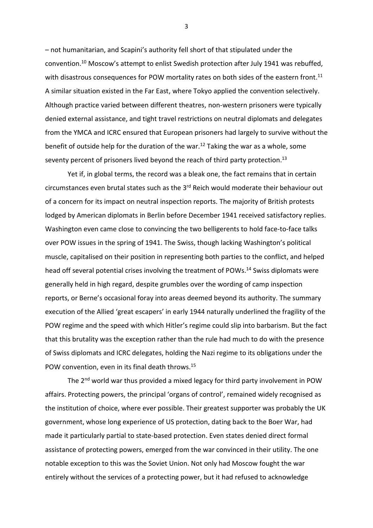– not humanitarian, and Scapini's authority fell short of that stipulated under the convention. <sup>10</sup> Moscow's attempt to enlist Swedish protection after July 1941 was rebuffed, with disastrous consequences for POW mortality rates on both sides of the eastern front.<sup>11</sup> A similar situation existed in the Far East, where Tokyo applied the convention selectively. Although practice varied between different theatres, non-western prisoners were typically denied external assistance, and tight travel restrictions on neutral diplomats and delegates from the YMCA and ICRC ensured that European prisoners had largely to survive without the benefit of outside help for the duration of the war.<sup>12</sup> Taking the war as a whole, some seventy percent of prisoners lived beyond the reach of third party protection.<sup>13</sup>

Yet if, in global terms, the record was a bleak one, the fact remains that in certain circumstances even brutal states such as the 3<sup>rd</sup> Reich would moderate their behaviour out of a concern for its impact on neutral inspection reports. The majority of British protests lodged by American diplomats in Berlin before December 1941 received satisfactory replies. Washington even came close to convincing the two belligerents to hold face-to-face talks over POW issues in the spring of 1941. The Swiss, though lacking Washington's political muscle, capitalised on their position in representing both parties to the conflict, and helped head off several potential crises involving the treatment of POWs.<sup>14</sup> Swiss diplomats were generally held in high regard, despite grumbles over the wording of camp inspection reports, or Berne's occasional foray into areas deemed beyond its authority. The summary execution of the Allied 'great escapers' in early 1944 naturally underlined the fragility of the POW regime and the speed with which Hitler's regime could slip into barbarism. But the fact that this brutality was the exception rather than the rule had much to do with the presence of Swiss diplomats and ICRC delegates, holding the Nazi regime to its obligations under the POW convention, even in its final death throws.<sup>15</sup>

The 2<sup>nd</sup> world war thus provided a mixed legacy for third party involvement in POW affairs. Protecting powers, the principal 'organs of control', remained widely recognised as the institution of choice, where ever possible. Their greatest supporter was probably the UK government, whose long experience of US protection, dating back to the Boer War, had made it particularly partial to state-based protection. Even states denied direct formal assistance of protecting powers, emerged from the war convinced in their utility. The one notable exception to this was the Soviet Union. Not only had Moscow fought the war entirely without the services of a protecting power, but it had refused to acknowledge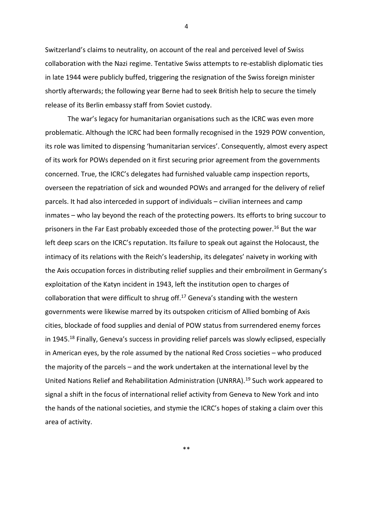Switzerland's claims to neutrality, on account of the real and perceived level of Swiss collaboration with the Nazi regime. Tentative Swiss attempts to re-establish diplomatic ties in late 1944 were publicly buffed, triggering the resignation of the Swiss foreign minister shortly afterwards; the following year Berne had to seek British help to secure the timely release of its Berlin embassy staff from Soviet custody.

The war's legacy for humanitarian organisations such as the ICRC was even more problematic. Although the ICRC had been formally recognised in the 1929 POW convention, its role was limited to dispensing 'humanitarian services'. Consequently, almost every aspect of its work for POWs depended on it first securing prior agreement from the governments concerned. True, the ICRC's delegates had furnished valuable camp inspection reports, overseen the repatriation of sick and wounded POWs and arranged for the delivery of relief parcels. It had also interceded in support of individuals – civilian internees and camp inmates – who lay beyond the reach of the protecting powers. Its efforts to bring succour to prisoners in the Far East probably exceeded those of the protecting power.<sup>16</sup> But the war left deep scars on the ICRC's reputation. Its failure to speak out against the Holocaust, the intimacy of its relations with the Reich's leadership, its delegates' naivety in working with the Axis occupation forces in distributing relief supplies and their embroilment in Germany's exploitation of the Katyn incident in 1943, left the institution open to charges of collaboration that were difficult to shrug off.<sup>17</sup> Geneva's standing with the western governments were likewise marred by its outspoken criticism of Allied bombing of Axis cities, blockade of food supplies and denial of POW status from surrendered enemy forces in 1945.<sup>18</sup> Finally, Geneva's success in providing relief parcels was slowly eclipsed, especially in American eyes, by the role assumed by the national Red Cross societies – who produced the majority of the parcels – and the work undertaken at the international level by the United Nations Relief and Rehabilitation Administration (UNRRA).<sup>19</sup> Such work appeared to signal a shift in the focus of international relief activity from Geneva to New York and into the hands of the national societies, and stymie the ICRC's hopes of staking a claim over this area of activity.

4

\*\*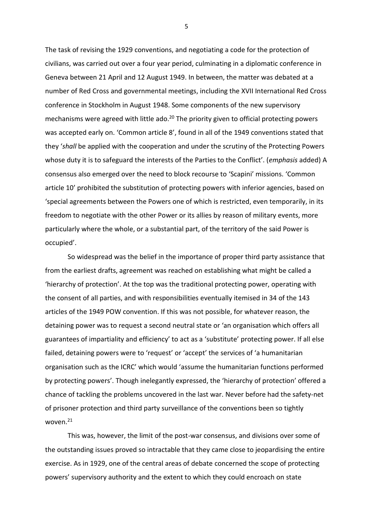The task of revising the 1929 conventions, and negotiating a code for the protection of civilians, was carried out over a four year period, culminating in a diplomatic conference in Geneva between 21 April and 12 August 1949. In between, the matter was debated at a number of Red Cross and governmental meetings, including the XVII International Red Cross conference in Stockholm in August 1948. Some components of the new supervisory mechanisms were agreed with little ado.<sup>20</sup> The priority given to official protecting powers was accepted early on. 'Common article 8', found in all of the 1949 conventions stated that they '*shall* be applied with the cooperation and under the scrutiny of the Protecting Powers whose duty it is to safeguard the interests of the Parties to the Conflict'. (*emphasis* added) A consensus also emerged over the need to block recourse to 'Scapini' missions. 'Common article 10' prohibited the substitution of protecting powers with inferior agencies, based on 'special agreements between the Powers one of which is restricted, even temporarily, in its freedom to negotiate with the other Power or its allies by reason of military events, more particularly where the whole, or a substantial part, of the territory of the said Power is occupied'.

So widespread was the belief in the importance of proper third party assistance that from the earliest drafts, agreement was reached on establishing what might be called a 'hierarchy of protection'. At the top was the traditional protecting power, operating with the consent of all parties, and with responsibilities eventually itemised in 34 of the 143 articles of the 1949 POW convention. If this was not possible, for whatever reason, the detaining power was to request a second neutral state or 'an organisation which offers all guarantees of impartiality and efficiency' to act as a 'substitute' protecting power. If all else failed, detaining powers were to 'request' or 'accept' the services of 'a humanitarian organisation such as the ICRC' which would 'assume the humanitarian functions performed by protecting powers'. Though inelegantly expressed, the 'hierarchy of protection' offered a chance of tackling the problems uncovered in the last war. Never before had the safety-net of prisoner protection and third party surveillance of the conventions been so tightly woven.<sup>21</sup>

This was, however, the limit of the post-war consensus, and divisions over some of the outstanding issues proved so intractable that they came close to jeopardising the entire exercise. As in 1929, one of the central areas of debate concerned the scope of protecting powers' supervisory authority and the extent to which they could encroach on state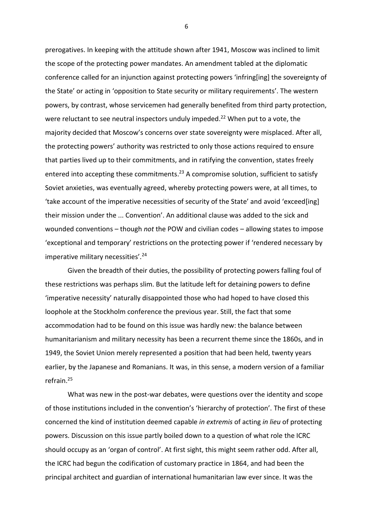prerogatives. In keeping with the attitude shown after 1941, Moscow was inclined to limit the scope of the protecting power mandates. An amendment tabled at the diplomatic conference called for an injunction against protecting powers 'infring[ing] the sovereignty of the State' or acting in 'opposition to State security or military requirements'. The western powers, by contrast, whose servicemen had generally benefited from third party protection, were reluctant to see neutral inspectors unduly impeded.<sup>22</sup> When put to a vote, the majority decided that Moscow's concerns over state sovereignty were misplaced. After all, the protecting powers' authority was restricted to only those actions required to ensure that parties lived up to their commitments, and in ratifying the convention, states freely entered into accepting these commitments.<sup>23</sup> A compromise solution, sufficient to satisfy Soviet anxieties, was eventually agreed, whereby protecting powers were, at all times, to 'take account of the imperative necessities of security of the State' and avoid 'exceed[ing] their mission under the ... Convention'. An additional clause was added to the sick and wounded conventions – though *not* the POW and civilian codes – allowing states to impose 'exceptional and temporary' restrictions on the protecting power if 'rendered necessary by imperative military necessities'.<sup>24</sup>

Given the breadth of their duties, the possibility of protecting powers falling foul of these restrictions was perhaps slim. But the latitude left for detaining powers to define 'imperative necessity' naturally disappointed those who had hoped to have closed this loophole at the Stockholm conference the previous year. Still, the fact that some accommodation had to be found on this issue was hardly new: the balance between humanitarianism and military necessity has been a recurrent theme since the 1860s, and in 1949, the Soviet Union merely represented a position that had been held, twenty years earlier, by the Japanese and Romanians. It was, in this sense, a modern version of a familiar refrain.<sup>25</sup>

What was new in the post-war debates, were questions over the identity and scope of those institutions included in the convention's 'hierarchy of protection'. The first of these concerned the kind of institution deemed capable *in extremis* of acting *in lieu* of protecting powers. Discussion on this issue partly boiled down to a question of what role the ICRC should occupy as an 'organ of control'. At first sight, this might seem rather odd. After all, the ICRC had begun the codification of customary practice in 1864, and had been the principal architect and guardian of international humanitarian law ever since. It was the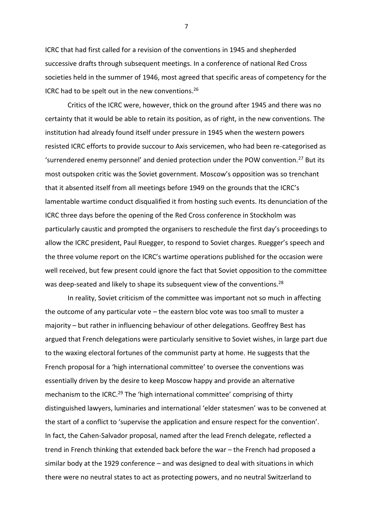ICRC that had first called for a revision of the conventions in 1945 and shepherded successive drafts through subsequent meetings. In a conference of national Red Cross societies held in the summer of 1946, most agreed that specific areas of competency for the ICRC had to be spelt out in the new conventions. 26

Critics of the ICRC were, however, thick on the ground after 1945 and there was no certainty that it would be able to retain its position, as of right, in the new conventions. The institution had already found itself under pressure in 1945 when the western powers resisted ICRC efforts to provide succour to Axis servicemen, who had been re-categorised as 'surrendered enemy personnel' and denied protection under the POW convention.<sup>27</sup> But its most outspoken critic was the Soviet government. Moscow's opposition was so trenchant that it absented itself from all meetings before 1949 on the grounds that the ICRC's lamentable wartime conduct disqualified it from hosting such events. Its denunciation of the ICRC three days before the opening of the Red Cross conference in Stockholm was particularly caustic and prompted the organisers to reschedule the first day's proceedings to allow the ICRC president, Paul Ruegger, to respond to Soviet charges. Ruegger's speech and the three volume report on the ICRC's wartime operations published for the occasion were well received, but few present could ignore the fact that Soviet opposition to the committee was deep-seated and likely to shape its subsequent view of the conventions.<sup>28</sup>

In reality, Soviet criticism of the committee was important not so much in affecting the outcome of any particular vote – the eastern bloc vote was too small to muster a majority – but rather in influencing behaviour of other delegations. Geoffrey Best has argued that French delegations were particularly sensitive to Soviet wishes, in large part due to the waxing electoral fortunes of the communist party at home. He suggests that the French proposal for a 'high international committee' to oversee the conventions was essentially driven by the desire to keep Moscow happy and provide an alternative mechanism to the ICRC.<sup>29</sup> The 'high international committee' comprising of thirty distinguished lawyers, luminaries and international 'elder statesmen' was to be convened at the start of a conflict to 'supervise the application and ensure respect for the convention'. In fact, the Cahen-Salvador proposal, named after the lead French delegate, reflected a trend in French thinking that extended back before the war – the French had proposed a similar body at the 1929 conference – and was designed to deal with situations in which there were no neutral states to act as protecting powers, and no neutral Switzerland to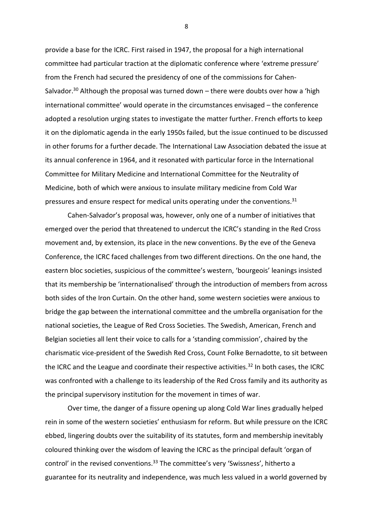provide a base for the ICRC. First raised in 1947, the proposal for a high international committee had particular traction at the diplomatic conference where 'extreme pressure' from the French had secured the presidency of one of the commissions for Cahen-Salvador.<sup>30</sup> Although the proposal was turned down  $-$  there were doubts over how a 'high international committee' would operate in the circumstances envisaged – the conference adopted a resolution urging states to investigate the matter further. French efforts to keep it on the diplomatic agenda in the early 1950s failed, but the issue continued to be discussed in other forums for a further decade. The International Law Association debated the issue at its annual conference in 1964, and it resonated with particular force in the International Committee for Military Medicine and International Committee for the Neutrality of Medicine, both of which were anxious to insulate military medicine from Cold War pressures and ensure respect for medical units operating under the conventions.<sup>31</sup>

Cahen-Salvador's proposal was, however, only one of a number of initiatives that emerged over the period that threatened to undercut the ICRC's standing in the Red Cross movement and, by extension, its place in the new conventions. By the eve of the Geneva Conference, the ICRC faced challenges from two different directions. On the one hand, the eastern bloc societies, suspicious of the committee's western, 'bourgeois' leanings insisted that its membership be 'internationalised' through the introduction of members from across both sides of the Iron Curtain. On the other hand, some western societies were anxious to bridge the gap between the international committee and the umbrella organisation for the national societies, the League of Red Cross Societies. The Swedish, American, French and Belgian societies all lent their voice to calls for a 'standing commission', chaired by the charismatic vice-president of the Swedish Red Cross, Count Folke Bernadotte, to sit between the ICRC and the League and coordinate their respective activities.<sup>32</sup> In both cases, the ICRC was confronted with a challenge to its leadership of the Red Cross family and its authority as the principal supervisory institution for the movement in times of war.

Over time, the danger of a fissure opening up along Cold War lines gradually helped rein in some of the western societies' enthusiasm for reform. But while pressure on the ICRC ebbed, lingering doubts over the suitability of its statutes, form and membership inevitably coloured thinking over the wisdom of leaving the ICRC as the principal default 'organ of control' in the revised conventions.<sup>33</sup> The committee's very 'Swissness', hitherto a guarantee for its neutrality and independence, was much less valued in a world governed by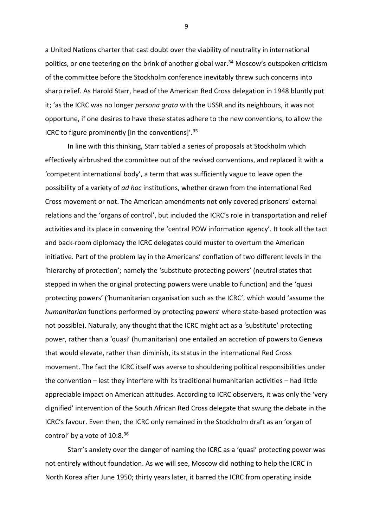a United Nations charter that cast doubt over the viability of neutrality in international politics, or one teetering on the brink of another global war. <sup>34</sup> Moscow's outspoken criticism of the committee before the Stockholm conference inevitably threw such concerns into sharp relief. As Harold Starr, head of the American Red Cross delegation in 1948 bluntly put it; 'as the ICRC was no longer *persona grata* with the USSR and its neighbours, it was not opportune, if one desires to have these states adhere to the new conventions, to allow the ICRC to figure prominently [in the conventions]'.<sup>35</sup>

In line with this thinking, Starr tabled a series of proposals at Stockholm which effectively airbrushed the committee out of the revised conventions, and replaced it with a 'competent international body', a term that was sufficiently vague to leave open the possibility of a variety of *ad hoc* institutions, whether drawn from the international Red Cross movement or not. The American amendments not only covered prisoners' external relations and the 'organs of control', but included the ICRC's role in transportation and relief activities and its place in convening the 'central POW information agency'. It took all the tact and back-room diplomacy the ICRC delegates could muster to overturn the American initiative. Part of the problem lay in the Americans' conflation of two different levels in the 'hierarchy of protection'; namely the 'substitute protecting powers' (neutral states that stepped in when the original protecting powers were unable to function) and the 'quasi protecting powers' ('humanitarian organisation such as the ICRC', which would 'assume the *humanitarian* functions performed by protecting powers' where state-based protection was not possible). Naturally, any thought that the ICRC might act as a 'substitute' protecting power, rather than a 'quasi' (humanitarian) one entailed an accretion of powers to Geneva that would elevate, rather than diminish, its status in the international Red Cross movement. The fact the ICRC itself was averse to shouldering political responsibilities under the convention – lest they interfere with its traditional humanitarian activities – had little appreciable impact on American attitudes. According to ICRC observers, it was only the 'very dignified' intervention of the South African Red Cross delegate that swung the debate in the ICRC's favour. Even then, the ICRC only remained in the Stockholm draft as an 'organ of control' by a vote of  $10:8.^{36}$ 

Starr's anxiety over the danger of naming the ICRC as a 'quasi' protecting power was not entirely without foundation. As we will see, Moscow did nothing to help the ICRC in North Korea after June 1950; thirty years later, it barred the ICRC from operating inside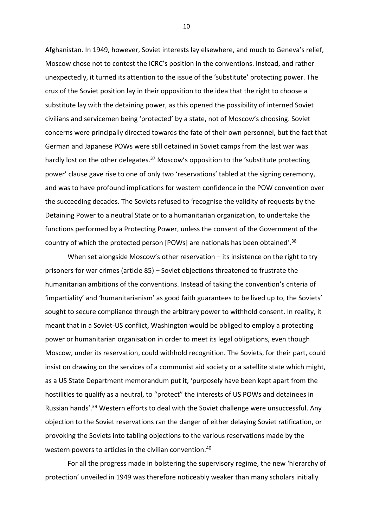Afghanistan. In 1949, however, Soviet interests lay elsewhere, and much to Geneva's relief, Moscow chose not to contest the ICRC's position in the conventions. Instead, and rather unexpectedly, it turned its attention to the issue of the 'substitute' protecting power. The crux of the Soviet position lay in their opposition to the idea that the right to choose a substitute lay with the detaining power, as this opened the possibility of interned Soviet civilians and servicemen being 'protected' by a state, not of Moscow's choosing. Soviet concerns were principally directed towards the fate of their own personnel, but the fact that German and Japanese POWs were still detained in Soviet camps from the last war was hardly lost on the other delegates.<sup>37</sup> Moscow's opposition to the 'substitute protecting power' clause gave rise to one of only two 'reservations' tabled at the signing ceremony, and was to have profound implications for western confidence in the POW convention over the succeeding decades. The Soviets refused to 'recognise the validity of requests by the Detaining Power to a neutral State or to a humanitarian organization, to undertake the functions performed by a Protecting Power, unless the consent of the Government of the country of which the protected person [POWs] are nationals has been obtained'.<sup>38</sup>

When set alongside Moscow's other reservation – its insistence on the right to try prisoners for war crimes (article 85) – Soviet objections threatened to frustrate the humanitarian ambitions of the conventions. Instead of taking the convention's criteria of 'impartiality' and 'humanitarianism' as good faith guarantees to be lived up to, the Soviets' sought to secure compliance through the arbitrary power to withhold consent. In reality, it meant that in a Soviet-US conflict, Washington would be obliged to employ a protecting power or humanitarian organisation in order to meet its legal obligations, even though Moscow, under its reservation, could withhold recognition. The Soviets, for their part, could insist on drawing on the services of a communist aid society or a satellite state which might, as a US State Department memorandum put it, 'purposely have been kept apart from the hostilities to qualify as a neutral, to "protect" the interests of US POWs and detainees in Russian hands'.<sup>39</sup> Western efforts to deal with the Soviet challenge were unsuccessful. Any objection to the Soviet reservations ran the danger of either delaying Soviet ratification, or provoking the Soviets into tabling objections to the various reservations made by the western powers to articles in the civilian convention.<sup>40</sup>

For all the progress made in bolstering the supervisory regime, the new 'hierarchy of protection' unveiled in 1949 was therefore noticeably weaker than many scholars initially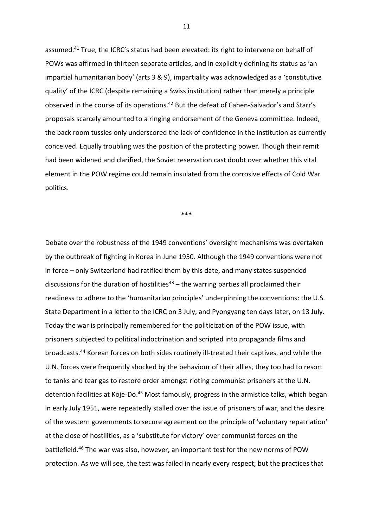assumed.<sup>41</sup> True, the ICRC's status had been elevated: its right to intervene on behalf of POWs was affirmed in thirteen separate articles, and in explicitly defining its status as 'an impartial humanitarian body' (arts 3 & 9), impartiality was acknowledged as a 'constitutive quality' of the ICRC (despite remaining a Swiss institution) rather than merely a principle observed in the course of its operations.<sup>42</sup> But the defeat of Cahen-Salvador's and Starr's proposals scarcely amounted to a ringing endorsement of the Geneva committee. Indeed, the back room tussles only underscored the lack of confidence in the institution as currently conceived. Equally troubling was the position of the protecting power. Though their remit had been widened and clarified, the Soviet reservation cast doubt over whether this vital element in the POW regime could remain insulated from the corrosive effects of Cold War politics.

\*\*\*

Debate over the robustness of the 1949 conventions' oversight mechanisms was overtaken by the outbreak of fighting in Korea in June 1950. Although the 1949 conventions were not in force – only Switzerland had ratified them by this date, and many states suspended discussions for the duration of hostilities<sup>43</sup> – the warring parties all proclaimed their readiness to adhere to the 'humanitarian principles' underpinning the conventions: the U.S. State Department in a letter to the ICRC on 3 July, and Pyongyang ten days later, on 13 July. Today the war is principally remembered for the politicization of the POW issue, with prisoners subjected to political indoctrination and scripted into propaganda films and broadcasts.<sup>44</sup> Korean forces on both sides routinely ill-treated their captives, and while the U.N. forces were frequently shocked by the behaviour of their allies, they too had to resort to tanks and tear gas to restore order amongst rioting communist prisoners at the U.N. detention facilities at Koje-Do.<sup>45</sup> Most famously, progress in the armistice talks, which began in early July 1951, were repeatedly stalled over the issue of prisoners of war, and the desire of the western governments to secure agreement on the principle of 'voluntary repatriation' at the close of hostilities, as a 'substitute for victory' over communist forces on the battlefield. <sup>46</sup> The war was also, however, an important test for the new norms of POW protection. As we will see, the test was failed in nearly every respect; but the practices that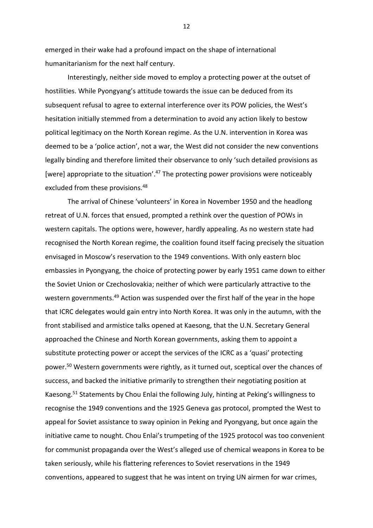emerged in their wake had a profound impact on the shape of international humanitarianism for the next half century.

Interestingly, neither side moved to employ a protecting power at the outset of hostilities. While Pyongyang's attitude towards the issue can be deduced from its subsequent refusal to agree to external interference over its POW policies, the West's hesitation initially stemmed from a determination to avoid any action likely to bestow political legitimacy on the North Korean regime. As the U.N. intervention in Korea was deemed to be a 'police action', not a war, the West did not consider the new conventions legally binding and therefore limited their observance to only 'such detailed provisions as [were] appropriate to the situation'.<sup>47</sup> The protecting power provisions were noticeably excluded from these provisions.<sup>48</sup>

The arrival of Chinese 'volunteers' in Korea in November 1950 and the headlong retreat of U.N. forces that ensued, prompted a rethink over the question of POWs in western capitals. The options were, however, hardly appealing. As no western state had recognised the North Korean regime, the coalition found itself facing precisely the situation envisaged in Moscow's reservation to the 1949 conventions. With only eastern bloc embassies in Pyongyang, the choice of protecting power by early 1951 came down to either the Soviet Union or Czechoslovakia; neither of which were particularly attractive to the western governments.<sup>49</sup> Action was suspended over the first half of the year in the hope that ICRC delegates would gain entry into North Korea. It was only in the autumn, with the front stabilised and armistice talks opened at Kaesong, that the U.N. Secretary General approached the Chinese and North Korean governments, asking them to appoint a substitute protecting power or accept the services of the ICRC as a 'quasi' protecting power. <sup>50</sup> Western governments were rightly, as it turned out, sceptical over the chances of success, and backed the initiative primarily to strengthen their negotiating position at Kaesong. <sup>51</sup> Statements by Chou Enlai the following July, hinting at Peking's willingness to recognise the 1949 conventions and the 1925 Geneva gas protocol, prompted the West to appeal for Soviet assistance to sway opinion in Peking and Pyongyang, but once again the initiative came to nought. Chou Enlai's trumpeting of the 1925 protocol was too convenient for communist propaganda over the West's alleged use of chemical weapons in Korea to be taken seriously, while his flattering references to Soviet reservations in the 1949 conventions, appeared to suggest that he was intent on trying UN airmen for war crimes,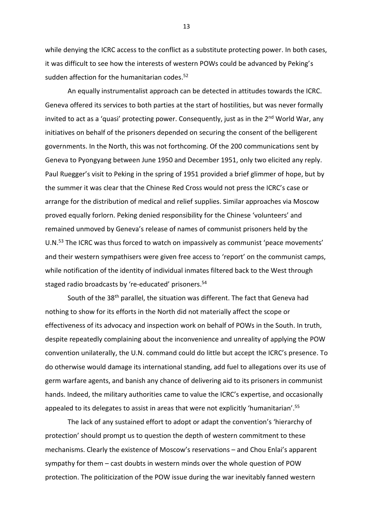while denying the ICRC access to the conflict as a substitute protecting power. In both cases, it was difficult to see how the interests of western POWs could be advanced by Peking's sudden affection for the humanitarian codes.<sup>52</sup>

An equally instrumentalist approach can be detected in attitudes towards the ICRC. Geneva offered its services to both parties at the start of hostilities, but was never formally invited to act as a 'quasi' protecting power. Consequently, just as in the  $2^{nd}$  World War, any initiatives on behalf of the prisoners depended on securing the consent of the belligerent governments. In the North, this was not forthcoming. Of the 200 communications sent by Geneva to Pyongyang between June 1950 and December 1951, only two elicited any reply. Paul Ruegger's visit to Peking in the spring of 1951 provided a brief glimmer of hope, but by the summer it was clear that the Chinese Red Cross would not press the ICRC's case or arrange for the distribution of medical and relief supplies. Similar approaches via Moscow proved equally forlorn. Peking denied responsibility for the Chinese 'volunteers' and remained unmoved by Geneva's release of names of communist prisoners held by the U.N. <sup>53</sup> The ICRC was thus forced to watch on impassively as communist 'peace movements' and their western sympathisers were given free access to 'report' on the communist camps, while notification of the identity of individual inmates filtered back to the West through staged radio broadcasts by 're-educated' prisoners. 54

South of the 38<sup>th</sup> parallel, the situation was different. The fact that Geneva had nothing to show for its efforts in the North did not materially affect the scope or effectiveness of its advocacy and inspection work on behalf of POWs in the South. In truth, despite repeatedly complaining about the inconvenience and unreality of applying the POW convention unilaterally, the U.N. command could do little but accept the ICRC's presence. To do otherwise would damage its international standing, add fuel to allegations over its use of germ warfare agents, and banish any chance of delivering aid to its prisoners in communist hands. Indeed, the military authorities came to value the ICRC's expertise, and occasionally appealed to its delegates to assist in areas that were not explicitly 'humanitarian'.<sup>55</sup>

The lack of any sustained effort to adopt or adapt the convention's 'hierarchy of protection' should prompt us to question the depth of western commitment to these mechanisms. Clearly the existence of Moscow's reservations – and Chou Enlai's apparent sympathy for them – cast doubts in western minds over the whole question of POW protection. The politicization of the POW issue during the war inevitably fanned western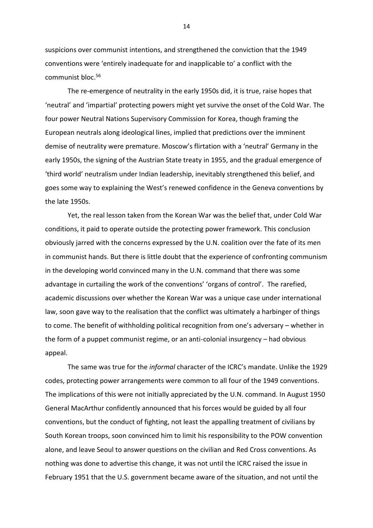suspicions over communist intentions, and strengthened the conviction that the 1949 conventions were 'entirely inadequate for and inapplicable to' a conflict with the communist bloc. 56

The re-emergence of neutrality in the early 1950s did, it is true, raise hopes that 'neutral' and 'impartial' protecting powers might yet survive the onset of the Cold War. The four power Neutral Nations Supervisory Commission for Korea, though framing the European neutrals along ideological lines, implied that predictions over the imminent demise of neutrality were premature. Moscow's flirtation with a 'neutral' Germany in the early 1950s, the signing of the Austrian State treaty in 1955, and the gradual emergence of 'third world' neutralism under Indian leadership, inevitably strengthened this belief, and goes some way to explaining the West's renewed confidence in the Geneva conventions by the late 1950s.

Yet, the real lesson taken from the Korean War was the belief that, under Cold War conditions, it paid to operate outside the protecting power framework. This conclusion obviously jarred with the concerns expressed by the U.N. coalition over the fate of its men in communist hands. But there is little doubt that the experience of confronting communism in the developing world convinced many in the U.N. command that there was some advantage in curtailing the work of the conventions' 'organs of control'. The rarefied, academic discussions over whether the Korean War was a unique case under international law, soon gave way to the realisation that the conflict was ultimately a harbinger of things to come. The benefit of withholding political recognition from one's adversary – whether in the form of a puppet communist regime, or an anti-colonial insurgency – had obvious appeal.

The same was true for the *informal* character of the ICRC's mandate. Unlike the 1929 codes, protecting power arrangements were common to all four of the 1949 conventions. The implications of this were not initially appreciated by the U.N. command. In August 1950 General MacArthur confidently announced that his forces would be guided by all four conventions, but the conduct of fighting, not least the appalling treatment of civilians by South Korean troops, soon convinced him to limit his responsibility to the POW convention alone, and leave Seoul to answer questions on the civilian and Red Cross conventions. As nothing was done to advertise this change, it was not until the ICRC raised the issue in February 1951 that the U.S. government became aware of the situation, and not until the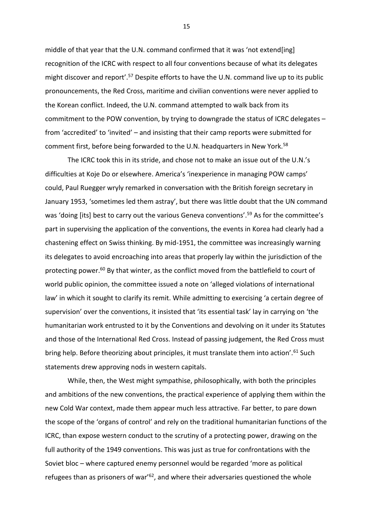middle of that year that the U.N. command confirmed that it was 'not extend[ing] recognition of the ICRC with respect to all four conventions because of what its delegates might discover and report<sup>'.57</sup> Despite efforts to have the U.N. command live up to its public pronouncements, the Red Cross, maritime and civilian conventions were never applied to the Korean conflict. Indeed, the U.N. command attempted to walk back from its commitment to the POW convention, by trying to downgrade the status of ICRC delegates – from 'accredited' to 'invited' – and insisting that their camp reports were submitted for comment first, before being forwarded to the U.N. headquarters in New York.<sup>58</sup>

The ICRC took this in its stride, and chose not to make an issue out of the U.N.'s difficulties at Koje Do or elsewhere. America's 'inexperience in managing POW camps' could, Paul Ruegger wryly remarked in conversation with the British foreign secretary in January 1953, 'sometimes led them astray', but there was little doubt that the UN command was 'doing [its] best to carry out the various Geneva conventions'.<sup>59</sup> As for the committee's part in supervising the application of the conventions, the events in Korea had clearly had a chastening effect on Swiss thinking. By mid-1951, the committee was increasingly warning its delegates to avoid encroaching into areas that properly lay within the jurisdiction of the protecting power.<sup>60</sup> By that winter, as the conflict moved from the battlefield to court of world public opinion, the committee issued a note on 'alleged violations of international law' in which it sought to clarify its remit. While admitting to exercising 'a certain degree of supervision' over the conventions, it insisted that 'its essential task' lay in carrying on 'the humanitarian work entrusted to it by the Conventions and devolving on it under its Statutes and those of the International Red Cross. Instead of passing judgement, the Red Cross must bring help. Before theorizing about principles, it must translate them into action'.<sup>61</sup> Such statements drew approving nods in western capitals.

While, then, the West might sympathise, philosophically, with both the principles and ambitions of the new conventions, the practical experience of applying them within the new Cold War context, made them appear much less attractive. Far better, to pare down the scope of the 'organs of control' and rely on the traditional humanitarian functions of the ICRC, than expose western conduct to the scrutiny of a protecting power, drawing on the full authority of the 1949 conventions. This was just as true for confrontations with the Soviet bloc – where captured enemy personnel would be regarded 'more as political refugees than as prisoners of war<sup> $62$ </sup>, and where their adversaries questioned the whole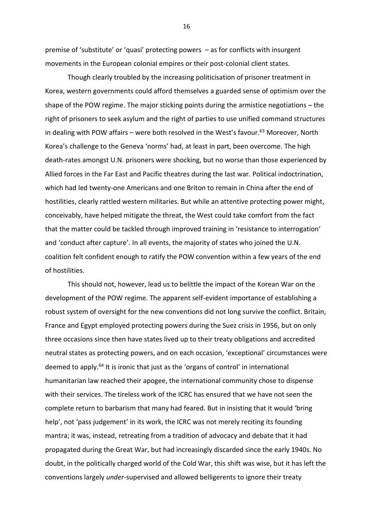premise of 'substitute' or 'quasi' protecting powers – as for conflicts with insurgent movements in the European colonial empires or their post-colonial client states.

Though clearly troubled by the increasing politicisation of prisoner treatment in Korea, western governments could afford themselves a guarded sense of optimism over the shape of the POW regime. The major sticking points during the armistice negotiations – the right of prisoners to seek asylum and the right of parties to use unified command structures in dealing with POW affairs – were both resolved in the West's favour. $63$  Moreover, North Korea's challenge to the Geneva 'norms' had, at least in part, been overcome. The high death-rates amongst U.N. prisoners were shocking, but no worse than those experienced by Allied forces in the Far East and Pacific theatres during the last war. Political indoctrination, which had led twenty-one Americans and one Briton to remain in China after the end of hostilities, clearly rattled western militaries. But while an attentive protecting power might, conceivably, have helped mitigate the threat, the West could take comfort from the fact that the matter could be tackled through improved training in 'resistance to interrogation' and 'conduct after capture'. In all events, the majority of states who joined the U.N. coalition felt confident enough to ratify the POW convention within a few years of the end of hostilities.

This should not, however, lead us to belittle the impact of the Korean War on the development of the POW regime. The apparent self-evident importance of establishing a robust system of oversight for the new conventions did not long survive the conflict. Britain, France and Egypt employed protecting powers during the Suez crisis in 1956, but on only three occasions since then have states lived up to their treaty obligations and accredited neutral states as protecting powers, and on each occasion, 'exceptional' circumstances were deemed to apply.<sup>64</sup> It is ironic that just as the 'organs of control' in international humanitarian law reached their apogee, the international community chose to dispense with their services. The tireless work of the ICRC has ensured that we have not seen the complete return to barbarism that many had feared. But in insisting that it would 'bring help', not 'pass judgement' in its work, the ICRC was not merely reciting its founding mantra; it was, instead, retreating from a tradition of advocacy and debate that it had propagated during the Great War, but had increasingly discarded since the early 1940s. No doubt, in the politically charged world of the Cold War, this shift was wise, but it has left the conventions largely *under*-supervised and allowed belligerents to ignore their treaty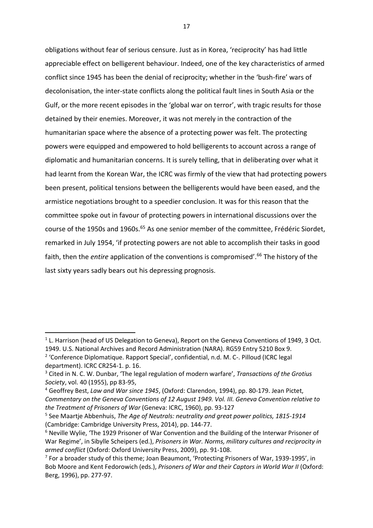obligations without fear of serious censure. Just as in Korea, 'reciprocity' has had little appreciable effect on belligerent behaviour. Indeed, one of the key characteristics of armed conflict since 1945 has been the denial of reciprocity; whether in the 'bush-fire' wars of decolonisation, the inter-state conflicts along the political fault lines in South Asia or the Gulf, or the more recent episodes in the 'global war on terror', with tragic results for those detained by their enemies. Moreover, it was not merely in the contraction of the humanitarian space where the absence of a protecting power was felt. The protecting powers were equipped and empowered to hold belligerents to account across a range of diplomatic and humanitarian concerns. It is surely telling, that in deliberating over what it had learnt from the Korean War, the ICRC was firmly of the view that had protecting powers been present, political tensions between the belligerents would have been eased, and the armistice negotiations brought to a speedier conclusion. It was for this reason that the committee spoke out in favour of protecting powers in international discussions over the course of the 1950s and 1960s.<sup>65</sup> As one senior member of the committee, Frédéric Siordet, remarked in July 1954, 'if protecting powers are not able to accomplish their tasks in good faith, then the *entire* application of the conventions is compromised'.<sup>66</sup> The history of the last sixty years sadly bears out his depressing prognosis.

**.** 

<sup>&</sup>lt;sup>1</sup> L. Harrison (head of US Delegation to Geneva), Report on the Geneva Conventions of 1949, 3 Oct. 1949. U.S. National Archives and Record Administration (NARA). RG59 Entry 5210 Box 9.

<sup>&</sup>lt;sup>2</sup> 'Conference Diplomatique. Rapport Special', confidential, n.d. M. C-. Pilloud (ICRC legal department). ICRC CR254-1. p. 16.

<sup>3</sup> Cited in N. C. W. Dunbar, 'The legal regulation of modern warfare', *Transactions of the Grotius Society*, vol. 40 (1955), pp 83-95,

<sup>4</sup> Geoffrey Best, *Law and War since 1945*, (Oxford: Clarendon, 1994), pp. 80-179. Jean Pictet, *Commentary on the Geneva Conventions of 12 August 1949. Vol. III. Geneva Convention relative to the Treatment of Prisoners of War* (Geneva: ICRC, 1960), pp. 93-127

<sup>5</sup> See Maartje Abbenhuis, *The Age of Neutrals: neutrality and great power politics, 1815-1914* (Cambridge: Cambridge University Press, 2014), pp. 144-77.

<sup>&</sup>lt;sup>6</sup> Neville Wylie, 'The 1929 Prisoner of War Convention and the Building of the Interwar Prisoner of War Regime', in Sibylle Scheipers (ed.), *Prisoners in War. Norms, military cultures and reciprocity in armed conflict* (Oxford: Oxford University Press, 2009), pp. 91-108.

<sup>&</sup>lt;sup>7</sup> For a broader study of this theme; Joan Beaumont, 'Protecting Prisoners of War, 1939-1995', in Bob Moore and Kent Fedorowich (eds.), *Prisoners of War and their Captors in World War II* (Oxford: Berg, 1996), pp. 277-97.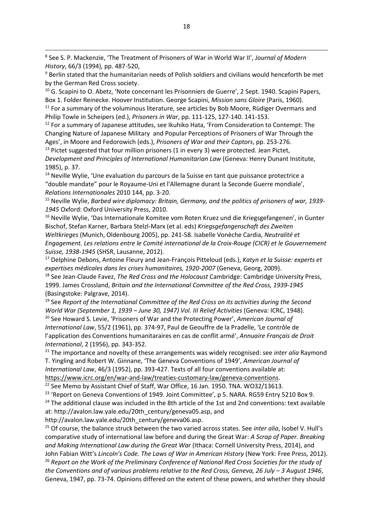8 See S. P. Mackenzie, 'The Treatment of Prisoners of War in World War II', *Journal of Modern History*, 66/3 (1994), pp. 487-520,

<sup>9</sup> Berlin stated that the humanitarian needs of Polish soldiers and civilians would henceforth be met by the German Red Cross society.

<sup>10</sup> G. Scapini to O. Abetz, 'Note concernant les Prisonniers de Guerre', 2 Sept. 1940. Scapini Papers, Box 1. Folder Reinecke. Hoover Institution. George Scapini, *Mission sans Gloire* (Paris, 1960).  $11$  For a summary of the voluminous literature, see articles by Bob Moore, Rüdiger Overmans and Philip Towle in Scheipers (ed.), *Prisoners in War*, pp. 111-125, 127-140. 141-153.

 $12$  For a summary of Japanese attitudes, see Ikuhiko Hata, 'From Consideration to Contempt: The Changing Nature of Japanese Military and Popular Perceptions of Prisoners of War Through the Ages', in Moore and Fedorowich (eds.), *Prisoners of War and their Captors*, pp. 253-276.

 $13$  Pictet suggested that four million prisoners (1 in every 3) were protected. Jean Pictet, *Development and Principles of International Humanitarian Law* (Geneva: Henry Dunant Institute, 1985), p. 37.

 $14$  Neville Wylie, 'Une evaluation du parcours de la Suisse en tant que puissance protectrice a "double mandate" pour le Royaume-Uni et l'Allemagne durant la Seconde Guerre mondiale', *Relations Internationales* 2010 144, pp. 3-20.

<sup>15</sup> Neville Wylie, *Barbed wire diplomacy: Britain, Germany, and the politics of prisoners of war, 1939- 1945* Oxford: Oxford University Press, 2010.

<sup>16</sup> Neville Wylie, 'Das Internationale Komitee vom Roten Kruez und die Kriegsgefangenen', in Gunter Bischof, Stefan Karner, Barbara Stelzl-Marx (et al. eds) *Kriegsgefangenschaft des Zweiten Weltkrieges* (Munich, Oldenbourg 2005), pp. 241-58. Isabelle Vonèche Cardia, *Neutralité et Engagement. Les relations entre le Comité international de la Croix-Rouge (CICR) et le Gouvernement Suisse, 1938-1945* (SHSR, Lausanne, 2012).

<sup>17</sup> Delphine Debons, Antoine Fleury and Jean-François Pitteloud (eds.), *Katyn et la Suisse: experts et expertises médicales dans les crises humanitaires, 1920-2007* (Geneva, Georg, 2009).

<sup>18</sup> See Jean-Claude Favez, *The Red Cross and the Holocaust* Cambridge: Cambridge University Press, 1999. James Crossland, *Britain and the International Committee of the Red Cross, 1939-1945* (Basingstoke: Palgrave, 2014).

<sup>19</sup> See *Report of the International Committee of the Red Cross on its activities during the Second World War (September 1, 1939 – June 30, 1947) Vol. III Relief Activities* (Geneva: ICRC, 1948). <sup>20</sup> See Howard S. Levie, 'Prisoners of War and the Protecting Power', *American Journal of International Law*, 55/2 (1961), pp. 374-97, Paul de Geouffre de la Pradelle, 'Le contrôle de l'application des Conventions humanitaraires en cas de conflit armé', *Annuaire Français de Droit* 

*International*, 2 (1956), pp. 343-352.

1

<sup>21</sup> The importance and novelty of these arrangements was widely recognised: see *inter alia* Raymond T. Yingling and Robert W. Ginnane, 'The Geneva Conventions of 1949', *American Journal of International Law*, 46/3 (1952), pp. 393-427. Texts of all four conventions available at: [https://www.icrc.org/en/war-and-law/treaties-customary-law/geneva-conventions.](https://www.icrc.org/en/war-and-law/treaties-customary-law/geneva-conventions)

<sup>22</sup> See Memo by Assistant Chief of Staff, War Office, 16 Jan. 1950. TNA. WO32/13613.

<sup>23</sup> 'Report on Geneva Conventions of 1949. Joint Committee', p 5. NARA. RG59 Entry 5210 Box 9.

 $24$  The additional clause was included in the 8th article of the 1st and 2nd conventions: text available at: [http://avalon.law.yale.edu/20th\\_century/geneva05.asp,](http://avalon.law.yale.edu/20th_century/geneva05.asp) and

[http://avalon.law.yale.edu/20th\\_century/geneva06.asp.](http://avalon.law.yale.edu/20th_century/geneva06.asp)

<sup>25</sup> Of course, the balance struck between the two varied across states. See *inter alia*, Isobel V. Hull's comparative study of international law before and during the Great War: *A Scrap of Paper. Breaking and Making International Law during the Great War* (Ithaca: Cornell University Press, 2014), and John Fabian Witt's *Lincoln's Code. The Laws of War in American History* (New York: Free Press, 2012).

<sup>26</sup> *Report on the Work of the Preliminary Conference of National Red Cross Societies for the study of the Conventions and of various problems relative to the Red Cross, Geneva, 26 July - 3 August 1946,* Geneva, 1947, pp. 73-74. Opinions differed on the extent of these powers, and whether they should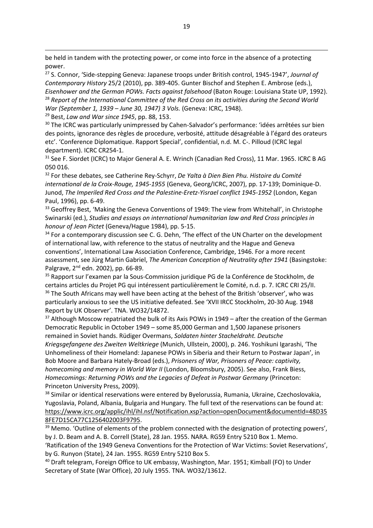be held in tandem with the protecting power, or come into force in the absence of a protecting power.

<sup>27</sup> S. Connor, 'Side-stepping Geneva: Japanese troops under British control, 1945-1947', *Journal of Contemporary History* 25/2 (2010), pp. 389-405. Gunter Bischof and Stephen E. Ambrose (eds.), *Eisenhower and the German POWs. Facts against falsehood* (Baton Rouge: Louisiana State UP, 1992). <sup>28</sup> *Report of the International Committee of the Red Cross on its activities during the Second World War (September 1, 1939 – June 30, 1947) 3 Vols.* (Geneva: ICRC, 1948).

<sup>29</sup> Best, *Law and War since 1945*, pp. 88, 153.

1

<sup>30</sup> The ICRC was particularly unimpressed by Cahen-Salvador's performance: 'idées arrêtées sur bien des points, ignorance des règles de procedure, verbosité, attitude désagréable à l'égard des orateurs etc'. 'Conference Diplomatique. Rapport Special', confidential, n.d. M. C-. Pilloud (ICRC legal department). ICRC CR254-1.

<sup>31</sup> See F. Siordet (ICRC) to Major General A. E. Wrinch (Canadian Red Cross), 11 Mar. 1965. ICRC B AG 050 016.

<sup>32</sup> For these debates, see Catherine Rey-Schyrr, *De Yalta à Dien Bien Phu. Histoire du Comité international de la Croix-Rouge, 1945-1955* (Geneva, Georg/ICRC, 2007), pp. 17-139; Dominique-D. Junod, *The Imperiled Red Cross and the Palestine-Eretz-Yisrael conflict 1945-1952* (London, Kegan Paul, 1996), pp. 6-49.

<sup>33</sup> Geoffrey Best, 'Making the Geneva Conventions of 1949: The view from Whitehall', in Christophe Swinarski (ed.), *Studies and essays on international humanitarian law and Red Cross principles in honour of Jean Pictet* (Geneva/Hague 1984), pp. 5-15.

 $34$  For a contemporary discussion see C. G. Dehn, 'The effect of the UN Charter on the development of international law, with reference to the status of neutrality and the Hague and Geneva conventions', International Law Association Conference, Cambridge, 1946. For a more recent assessment, see Jürg Martin Gabriel, *The American Conception of Neutrality after 1941* (Basingstoke: Palgrave, 2<sup>nd</sup> edn. 2002), pp. 66-89.

<sup>35</sup> Rapport sur l'examen par la Sous-Commission juridique PG de la Conférence de Stockholm, de certains articles du Projet PG qui intéressent particulièrement le Comité, n.d. p. 7. ICRC CRI 25/II.  $36$  The South Africans may well have been acting at the behest of the British 'observer', who was particularly anxious to see the US initiative defeated. See 'XVII IRCC Stockholm, 20-30 Aug. 1948 Report by UK Observer'. TNA. WO32/14872.

<sup>37</sup> Although Moscow repatriated the bulk of its Axis POWs in 1949 – after the creation of the German Democratic Republic in October 1949 – some 85,000 German and 1,500 Japanese prisoners remained in Soviet hands. Rüdiger Overmans, *Soldaten hinter Stacheldraht. Deutsche Kriegsgefangene des Zweiten Weltkriege* (Munich, Ullstein, 2000), p. 246. Yoshikuni Igarashi, 'The Unhomeliness of their Homeland: Japanese POWs in Siberia and their Return to Postwar Japan', in Bob Moore and Barbara Hately-Broad (eds.), *Prisoners of War, Prisoners of Peace: captivity, homecoming and memory in World War II* (London, Bloomsbury, 2005). See also, Frank Biess, *Homecomings: Returning POWs and the Legacies of Defeat in Postwar Germany* (Princeton: Princeton University Press, 2009).

<sup>38</sup> Similar or identical reservations were entered by Byelorussia, Rumania, Ukraine, Czechoslovakia, Yugoslavia, Poland, Albania, Bulgaria and Hungary. The full text of the reservations can be found at: [https://www.icrc.org/applic/ihl/ihl.nsf/Notification.xsp?action=openDocument&documentId=48D35](https://www.icrc.org/applic/ihl/ihl.nsf/Notification.xsp?action=openDocument&documentId=48D358FE7D15CA77C1256402003F9795) [8FE7D15CA77C1256402003F9795.](https://www.icrc.org/applic/ihl/ihl.nsf/Notification.xsp?action=openDocument&documentId=48D358FE7D15CA77C1256402003F9795)

<sup>39</sup> Memo. 'Outline of elements of the problem connected with the designation of protecting powers', by J. D. Beam and A. B. Correll (State), 28 Jan. 1955. NARA. RG59 Entry 5210 Box 1. Memo. 'Ratification of the 1949 Geneva Conventions for the Protection of War Victims: Soviet Reservations', by G. Runyon (State), 24 Jan. 1955. RG59 Entry 5210 Box 5.

<sup>40</sup> Draft telegram, Foreign Office to UK embassy, Washington, Mar. 1951; Kimball (FO) to Under Secretary of State (War Office), 20 July 1955. TNA. WO32/13612.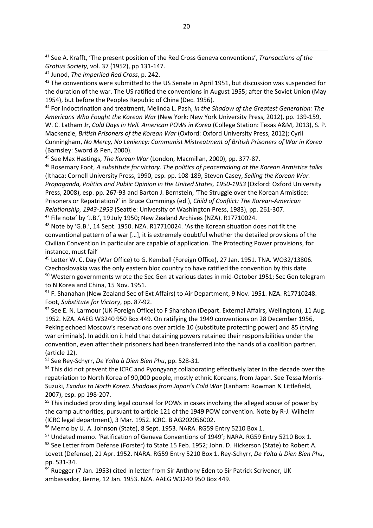1

<sup>43</sup> The conventions were submitted to the US Senate in April 1951, but discussion was suspended for the duration of the war. The US ratified the conventions in August 1955; after the Soviet Union (May 1954), but before the Peoples Republic of China (Dec. 1956).

<sup>44</sup> For indoctrination and treatment, Melinda L. Pash, *In the Shadow of the Greatest Generation: The Americans Who Fought the Korean War* (New York: New York University Press, 2012), pp. 139-159, W. C. Latham Jr, *Cold Days in Hell. American POWs in Korea* (College Station: Texas A&M, 2013), S. P. Mackenzie, *British Prisoners of the Korean War* (Oxford: Oxford University Press, 2012); Cyril Cunningham, *No Mercy, No Leniency: Communist Mistreatment of British Prisoners of War in Korea* (Barnsley: Sword & Pen, 2000).

<sup>45</sup> See Max Hastings, *The Korean War* (London, Macmillan, 2000), pp. 377-87.

<sup>46</sup> Rosemary Foot, *A substitute for victory. The politics of peacemaking at the Korean Armistice talks* (Ithaca: Cornell University Press, 1990, esp. pp. 108-189, Steven Casey, *Selling the Korean War. Propaganda, Politics and Public Opinion in the United States, 1950-1953* (Oxford: Oxford University Press, 2008), esp. pp. 267-93 and Barton J. Bernstein, 'The Struggle over the Korean Armistice: Prisoners or Repatriation?' in Bruce Cummings (ed.), *Child of Conflict: The Korean-American Relationship, 1943-1953* (Seattle: University of Washington Press, 1983), pp. 261-307. <sup>47</sup> File note' by 'J.B.', 19 July 1950; New Zealand Archives (NZA). R17710024.

<sup>48</sup> Note by 'G.B.', 14 Sept. 1950. NZA. R17710024. 'As the Korean situation does not fit the conventional pattern of a war […], it is extremely doubtful whether the detailed provisions of the Civilian Convention in particular are capable of application. The Protecting Power provisions, for instance, must fail'

<sup>49</sup> Letter W. C. Day (War Office) to G. Kemball (Foreign Office), 27 Jan. 1951. TNA. WO32/13806. Czechoslovakia was the only eastern bloc country to have ratified the convention by this date. <sup>50</sup> Western governments wrote the Sec Gen at various dates in mid-October 1951; Sec Gen telegram to N Korea and China, 15 Nov. 1951.

<sup>51</sup> F. Shanahan (New Zealand Sec of Ext Affairs) to Air Department, 9 Nov. 1951. NZA. R17710248. Foot, *Substitute for Victory*, pp. 87-92.

<sup>52</sup> See E. N. Larmour (UK Foreign Office) to F Shanshan (Depart. External Affairs, Wellington), 11 Aug. 1952. NZA. AAEG W3240 950 Box 449. On ratifying the 1949 conventions on 28 December 1956, Peking echoed Moscow's reservations over article 10 (substitute protecting power) and 85 (trying war criminals). In addition it held that detaining powers retained their responsibilities under the convention, even after their prisoners had been transferred into the hands of a coalition partner. (article 12).

<sup>53</sup> See Rey-Schyrr, *De Yalta à Dien Bien Phu*, pp. 528-31.

<sup>54</sup> This did not prevent the ICRC and Pyongyang collaborating effectively later in the decade over the repatriation to North Korea of 90,000 people, mostly ethnic Koreans, from Japan. See Tessa Morris-Suzuki, *Exodus to North Korea. Shadows from Japan's Cold War* (Lanham: Rowman & Littlefield, 2007), esp. pp 198-207.

<sup>55</sup> This included providing legal counsel for POWs in cases involving the alleged abuse of power by the camp authorities, pursuant to article 121 of the 1949 POW convention. Note by R-J. Wilhelm (ICRC legal department), 3 Mar. 1952. ICRC. B AG202056002.

<sup>56</sup> Memo by U. A. Johnson (State), 8 Sept. 1953. NARA. RG59 Entry 5210 Box 1.

<sup>57</sup> Undated memo. 'Ratification of Geneva Conventions of 1949'; NARA. RG59 Entry 5210 Box 1. 58 See Letter from Defense (Forster) to State 15 Feb. 1952; John. D. Hickerson (State) to Robert A. Lovett (Defense), 21 Apr. 1952. NARA. RG59 Entry 5210 Box 1. Rey-Schyrr, *De Yalta à Dien Bien Phu*, pp. 531-34.

<sup>59</sup> Ruegger (7 Jan. 1953) cited in letter from Sir Anthony Eden to Sir Patrick Scrivener, UK ambassador, Berne, 12 Jan. 1953. NZA. AAEG W3240 950 Box 449.

<sup>41</sup> See A. Krafft, 'The present position of the Red Cross Geneva conventions', *Transactions of the Grotius Society*, vol. 37 (1952), pp 131-147.

<sup>42</sup> Junod, *The Imperiled Red Cross*, p. 242.